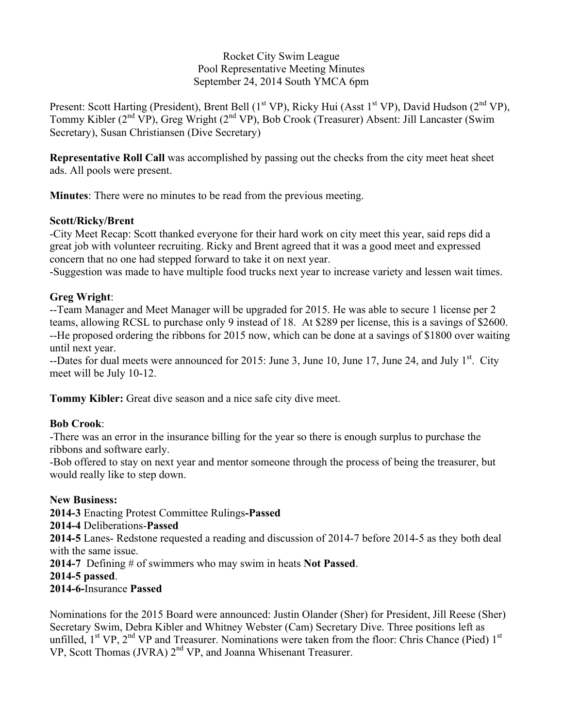#### Rocket City Swim League Pool Representative Meeting Minutes September 24, 2014 South YMCA 6pm

Present: Scott Harting (President), Brent Bell ( $1<sup>st</sup> VP$ ), Ricky Hui (Asst  $1<sup>st</sup> VP$ ), David Hudson ( $2<sup>nd</sup> VP$ ), Tommy Kibler ( $2^{nd}$  VP), Greg Wright ( $2^{nd}$  VP), Bob Crook (Treasurer) Absent: Jill Lancaster (Swim Secretary), Susan Christiansen (Dive Secretary)

**Representative Roll Call** was accomplished by passing out the checks from the city meet heat sheet ads. All pools were present.

**Minutes**: There were no minutes to be read from the previous meeting.

#### **Scott/Ricky/Brent**

-City Meet Recap: Scott thanked everyone for their hard work on city meet this year, said reps did a great job with volunteer recruiting. Ricky and Brent agreed that it was a good meet and expressed concern that no one had stepped forward to take it on next year.

-Suggestion was made to have multiple food trucks next year to increase variety and lessen wait times.

## **Greg Wright**:

--Team Manager and Meet Manager will be upgraded for 2015. He was able to secure 1 license per 2 teams, allowing RCSL to purchase only 9 instead of 18. At \$289 per license, this is a savings of \$2600. --He proposed ordering the ribbons for 2015 now, which can be done at a savings of \$1800 over waiting until next year.

 $-$ Dates for dual meets were announced for 2015: June 3, June 10, June 17, June 24, and July  $1<sup>st</sup>$ . City meet will be July 10-12.

**Tommy Kibler:** Great dive season and a nice safe city dive meet.

## **Bob Crook**:

-There was an error in the insurance billing for the year so there is enough surplus to purchase the ribbons and software early.

-Bob offered to stay on next year and mentor someone through the process of being the treasurer, but would really like to step down.

## **New Business:**

**2014-3** Enacting Protest Committee Rulings**-Passed**

## **2014-4** Deliberations-**Passed**

**2014-5** Lanes- Redstone requested a reading and discussion of 2014-7 before 2014-5 as they both deal with the same issue.

**2014-7** Defining # of swimmers who may swim in heats **Not Passed**.

**2014-5 passed**.

# **2014-6-**Insurance **Passed**

Nominations for the 2015 Board were announced: Justin Olander (Sher) for President, Jill Reese (Sher) Secretary Swim, Debra Kibler and Whitney Webster (Cam) Secretary Dive. Three positions left as unfilled,  $1^{st}$  VP,  $2^{nd}$  VP and Treasurer. Nominations were taken from the floor: Chris Chance (Pied)  $1^{st}$ VP, Scott Thomas (JVRA) 2<sup>nd</sup> VP, and Joanna Whisenant Treasurer.